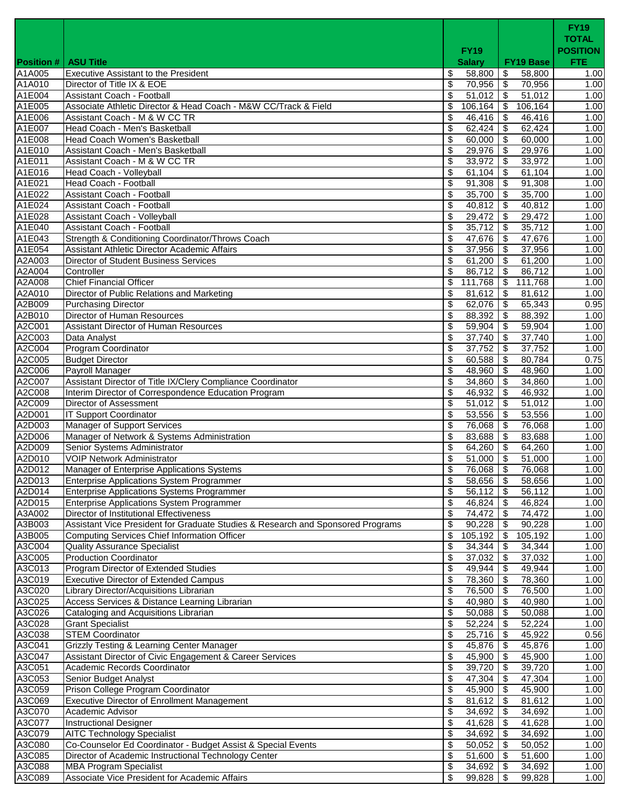|                             |                                                                                                    | <b>FY19</b>                       |                                  | <b>FY19</b><br><b>TOTAL</b><br><b>POSITION</b> |
|-----------------------------|----------------------------------------------------------------------------------------------------|-----------------------------------|----------------------------------|------------------------------------------------|
| <b>Position #</b><br>A1A005 | <b>ASU Title</b><br><b>Executive Assistant to the President</b>                                    | <b>Salary</b><br>\$<br>58,800     | <b>FY19 Base</b><br>\$<br>58,800 | <b>FTE</b><br>1.00                             |
| A1A010                      | Director of Title IX & EOE                                                                         | \$<br>70,956 \$                   | 70,956                           | 1.00                                           |
| A1E004                      | Assistant Coach - Football                                                                         | \$<br>$51,012$ \$                 | 51,012                           | 1.00                                           |
| A1E005                      | Associate Athletic Director & Head Coach - M&W CC/Track & Field                                    | \$<br>$106, 164$ \$               | 106,164                          | 1.00                                           |
| A1E006                      | Assistant Coach - M & W CC TR                                                                      | \$<br>46,416                      | $\frac{46,416}{6}$<br>\$         | 1.00                                           |
| A1E007                      | Head Coach - Men's Basketball                                                                      | \$<br>62,424                      | 62,424<br>-\$                    | 1.00                                           |
| A1E008                      | Head Coach Women's Basketball                                                                      | \$<br>$60,000$ \$                 | 60,000                           | 1.00                                           |
| A1E010                      | Assistant Coach - Men's Basketball                                                                 | 29,976<br>\$                      | 29,976<br>\$                     | 1.00                                           |
| A1E011                      | Assistant Coach - M & W CC TR                                                                      | \$<br>33,972                      | 33,972<br>-\$                    | 1.00                                           |
| A1E016                      | Head Coach - Volleyball                                                                            | \$<br>61,104                      | 61,104<br>\$                     | 1.00                                           |
| A1E021                      | Head Coach - Football<br>Assistant Coach - Football                                                | \$<br>91,308                      | \$<br>91,308                     | 1.00                                           |
| A1E022<br>A1E024            | Assistant Coach - Football                                                                         | \$<br>$35,700$ \$<br>\$<br>40,812 | 35,700<br>40,812<br>\$           | 1.00<br>1.00                                   |
| A1E028                      | Assistant Coach - Volleyball                                                                       | $29,472$ \$<br>\$                 | 29,472                           | 1.00                                           |
| A1E040                      | <b>Assistant Coach - Football</b>                                                                  | 35,712<br>\$                      | 35,712<br>\$                     | 1.00                                           |
| A1E043                      | Strength & Conditioning Coordinator/Throws Coach                                                   | \$<br>47,676                      | 47,676<br>l \$                   | 1.00                                           |
| A1E054                      | Assistant Athletic Director Academic Affairs                                                       | $37,956$ \$<br>\$                 | 37,956                           | 1.00                                           |
| A2A003                      | <b>Director of Student Business Services</b>                                                       | 61,200<br>\$                      | 61,200<br>\$                     | 1.00                                           |
| A2A004                      | Controller                                                                                         | 86,712<br>\$                      | 86,712<br>\$                     | 1.00                                           |
| A2A008                      | <b>Chief Financial Officer</b>                                                                     | \$<br>111,768                     | \$<br>111,768                    | 1.00                                           |
| A2A010                      | Director of Public Relations and Marketing                                                         | \$<br>81,612                      | 81,612<br>\$                     | 1.00                                           |
| A2B009                      | <b>Purchasing Director</b>                                                                         | \$<br>$62,076$ \$                 | 65,343                           | 0.95                                           |
| A2B010                      | Director of Human Resources                                                                        | \$<br>88,392                      | 88,392<br>\$                     | 1.00                                           |
| A2C001                      | Assistant Director of Human Resources                                                              | \$<br>59,904                      | -\$<br>59,904                    | 1.00                                           |
| A2C003                      | Data Analyst                                                                                       | \$<br>37,740                      | 37,740<br>\$                     | 1.00                                           |
| A2C004                      | <b>Program Coordinator</b>                                                                         | \$<br>37,752                      | \$<br>37,752                     | 1.00                                           |
| A2C005<br>A2C006            | <b>Budget Director</b><br>Payroll Manager                                                          | 60,588<br>\$<br>\$<br>48,960      | 80,784<br>- \$<br>48,960<br>\$   | 0.75<br>1.00                                   |
| A2C007                      | Assistant Director of Title IX/Clery Compliance Coordinator                                        | \$<br>34,860                      | <b>S</b><br>34,860               | 1.00                                           |
| A2C008                      | Interim Director of Correspondence Education Program                                               | \$<br>46,932                      | 46,932<br>\$                     | 1.00                                           |
| A2C009                      | Director of Assessment                                                                             | \$<br>51,012                      | -\$<br>51,012                    | 1.00                                           |
| A2D001                      | <b>IT Support Coordinator</b>                                                                      | \$<br>53,556 \$                   | 53,556                           | 1.00                                           |
| A2D003                      | <b>Manager of Support Services</b>                                                                 | \$<br>76,068                      | 76,068<br><b>S</b>               | 1.00                                           |
| A2D006                      | Manager of Network & Systems Administration                                                        | \$<br>83,688 \$                   | 83,688                           | 1.00                                           |
| A2D009                      | Senior Systems Administrator                                                                       | \$<br>64,260                      | \$<br>64,260                     | 1.00                                           |
| A2D010                      | <b>VOIP Network Administrator</b>                                                                  | \$<br>51.000                      | \$<br>51,000                     | 1.00                                           |
| A2D012                      | Manager of Enterprise Applications Systems                                                         | \$<br>76,068                      | \$<br>76,068                     | 1.00                                           |
| A2D013                      | <b>Enterprise Applications System Programmer</b>                                                   | \$<br>58,656 \$                   | 58,656                           | 1.00                                           |
| A2D014                      | Enterprise Applications Systems Programmer                                                         | \$<br>56,112                      | $\sqrt{3}$<br>56,112             | 1.00                                           |
| A2D015<br>A3A002            | <b>Enterprise Applications System Programmer</b><br><b>Director of Institutional Effectiveness</b> | \$<br>46,824<br>\$<br>74,472      | \$<br>46,824<br>-\$<br>74,472    | 1.00<br>1.00                                   |
| A3B003                      | Assistant Vice President for Graduate Studies & Research and Sponsored Programs                    | \$<br>90,228                      | \$<br>90,228                     | 1.00                                           |
| A3B005                      | <b>Computing Services Chief Information Officer</b>                                                | \$<br>105,192                     | 105,192<br>\$                    | 1.00                                           |
| A3C004                      | <b>Quality Assurance Specialist</b>                                                                | \$<br>34,344                      | 34,344<br>\$                     | 1.00                                           |
| A3C005                      | <b>Production Coordinator</b>                                                                      | \$<br>37,032                      | \$<br>37,032                     | $\overline{1.00}$                              |
| A3C013                      | Program Director of Extended Studies                                                               | \$<br>49,944                      | \$<br>49,944                     | 1.00                                           |
| A3C019                      | <b>Executive Director of Extended Campus</b>                                                       | \$<br>78,360                      | \$<br>78,360                     | 1.00                                           |
| A3C020                      | Library Director/Acquisitions Librarian                                                            | \$<br>76,500                      | 76,500<br>\$                     | 1.00                                           |
| A3C025                      | Access Services & Distance Learning Librarian                                                      | \$<br>40,980                      | \$<br>40,980                     | 1.00                                           |
| A3C026                      | Cataloging and Acquisitions Librarian                                                              | \$<br>$\overline{50,088}$         | 50,088<br>\$                     | 1.00                                           |
| A3C028                      | <b>Grant Specialist</b>                                                                            | \$<br>52,224                      | \$<br>52,224                     | 1.00                                           |
| A3C038                      | <b>STEM Coordinator</b>                                                                            | \$<br>25,716                      | 45,922<br>-\$                    | 0.56                                           |
| A3C041<br>A3C047            | <b>Grizzly Testing &amp; Learning Center Manager</b>                                               | \$<br>45,876<br>\$                | 45,876<br>\$<br>\$<br>45,900     | 1.00                                           |
| A3C051                      | Assistant Director of Civic Engagement & Career Services<br>Academic Records Coordinator           | 45,900<br>\$<br>39,720            | \$<br>39,720                     | 1.00<br>1.00                                   |
| A3C053                      | Senior Budget Analyst                                                                              | \$<br>47,304                      | \$<br>47,304                     | 1.00                                           |
| A3C059                      | Prison College Program Coordinator                                                                 | \$<br>45,900                      | \$<br>45,900                     | 1.00                                           |
| A3C069                      | <b>Executive Director of Enrollment Management</b>                                                 | \$<br>81,612                      | 81,612<br>\$                     | 1.00                                           |
| A3C070                      | Academic Advisor                                                                                   | \$<br>34,692                      | 34,692<br>\$                     | 1.00                                           |
| A3C077                      | <b>Instructional Designer</b>                                                                      | \$<br>41,628                      | 41,628<br>\$                     | 1.00                                           |
| A3C079                      | <b>AITC Technology Specialist</b>                                                                  | \$<br>34,692                      | \$<br>34,692                     | 1.00                                           |
| A3C080                      | Co-Counselor Ed Coordinator - Budget Assist & Special Events                                       | \$<br>50,052                      | 50,052<br>\$                     | 1.00                                           |
| A3C085                      | Director of Academic Instructional Technology Center                                               | \$<br>51,600                      | 51,600<br>\$                     | 1.00                                           |
| A3C088                      | <b>MBA Program Specialist</b>                                                                      | \$<br>34,692                      | \$<br>34,692                     | 1.00                                           |
| A3C089                      | Associate Vice President for Academic Affairs                                                      | \$<br>99,828                      | \$<br>99,828                     | 1.00                                           |